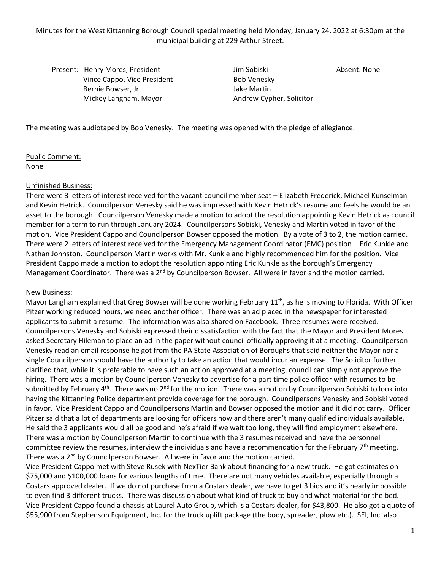Minutes for the West Kittanning Borough Council special meeting held Monday, January 24, 2022 at 6:30pm at the municipal building at 229 Arthur Street.

Present: Henry Mores, President Absent: None Jim Sobiski Absent: None Vince Cappo, Vice President Bob Venesky Bernie Bowser, Jr. Jake Martin Mickey Langham, Mayor Andrew Cypher, Solicitor

The meeting was audiotaped by Bob Venesky. The meeting was opened with the pledge of allegiance.

Public Comment: None

## Unfinished Business:

There were 3 letters of interest received for the vacant council member seat – Elizabeth Frederick, Michael Kunselman and Kevin Hetrick. Councilperson Venesky said he was impressed with Kevin Hetrick's resume and feels he would be an asset to the borough. Councilperson Venesky made a motion to adopt the resolution appointing Kevin Hetrick as council member for a term to run through January 2024. Councilpersons Sobiski, Venesky and Martin voted in favor of the motion. Vice President Cappo and Councilperson Bowser opposed the motion. By a vote of 3 to 2, the motion carried. There were 2 letters of interest received for the Emergency Management Coordinator (EMC) position – Eric Kunkle and Nathan Johnston. Councilperson Martin works with Mr. Kunkle and highly recommended him for the position. Vice President Cappo made a motion to adopt the resolution appointing Eric Kunkle as the borough's Emergency Management Coordinator. There was a 2<sup>nd</sup> by Councilperson Bowser. All were in favor and the motion carried.

## New Business:

Mayor Langham explained that Greg Bowser will be done working February  $11^{th}$ , as he is moving to Florida. With Officer Pitzer working reduced hours, we need another officer. There was an ad placed in the newspaper for interested applicants to submit a resume. The information was also shared on Facebook. Three resumes were received. Councilpersons Venesky and Sobiski expressed their dissatisfaction with the fact that the Mayor and President Mores asked Secretary Hileman to place an ad in the paper without council officially approving it at a meeting. Councilperson Venesky read an email response he got from the PA State Association of Boroughs that said neither the Mayor nor a single Councilperson should have the authority to take an action that would incur an expense. The Solicitor further clarified that, while it is preferable to have such an action approved at a meeting, council can simply not approve the hiring. There was a motion by Councilperson Venesky to advertise for a part time police officer with resumes to be submitted by February  $4^{th}$ . There was no  $2^{nd}$  for the motion. There was a motion by Councilperson Sobiski to look into having the Kittanning Police department provide coverage for the borough. Councilpersons Venesky and Sobiski voted in favor. Vice President Cappo and Councilpersons Martin and Bowser opposed the motion and it did not carry. Officer Pitzer said that a lot of departments are looking for officers now and there aren't many qualified individuals available. He said the 3 applicants would all be good and he's afraid if we wait too long, they will find employment elsewhere. There was a motion by Councilperson Martin to continue with the 3 resumes received and have the personnel committee review the resumes, interview the individuals and have a recommendation for the February 7<sup>th</sup> meeting. There was a 2<sup>nd</sup> by Councilperson Bowser. All were in favor and the motion carried.

Vice President Cappo met with Steve Rusek with NexTier Bank about financing for a new truck. He got estimates on \$75,000 and \$100,000 loans for various lengths of time. There are not many vehicles available, especially through a Costars approved dealer. If we do not purchase from a Costars dealer, we have to get 3 bids and it's nearly impossible to even find 3 different trucks. There was discussion about what kind of truck to buy and what material for the bed. Vice President Cappo found a chassis at Laurel Auto Group, which is a Costars dealer, for \$43,800. He also got a quote of \$55,900 from Stephenson Equipment, Inc. for the truck uplift package (the body, spreader, plow etc.). SEI, Inc. also